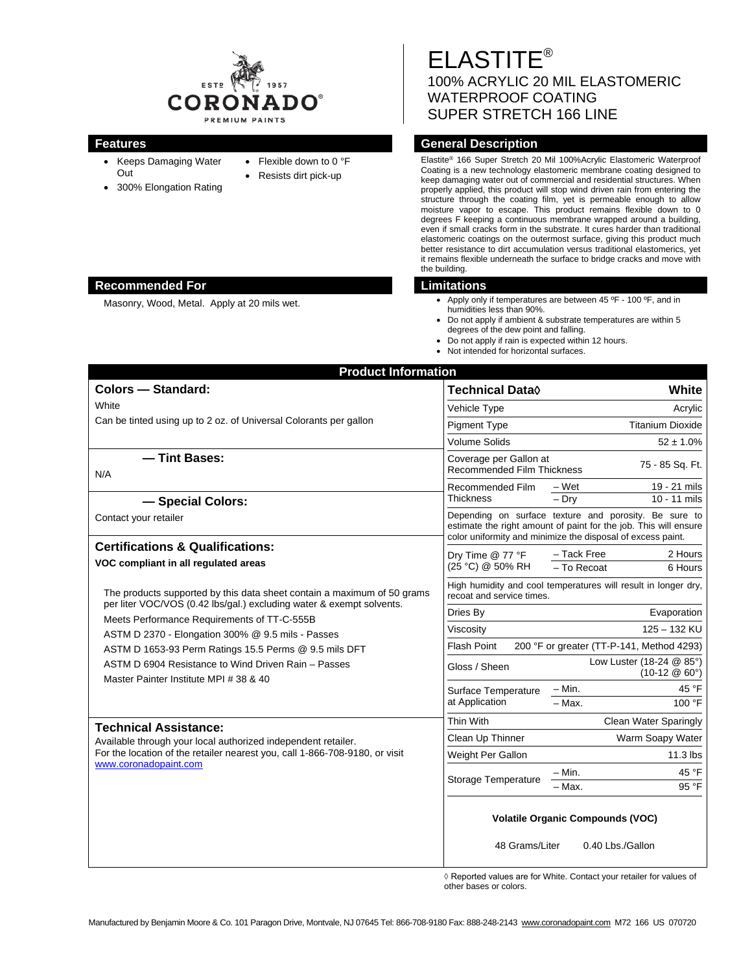

- Keeps Damaging Water Out
- 300% Elongation Rating
- Flexible down to 0 °F
- Resists dirt pick-up

ELASTITE® 100% ACRYLIC 20 MIL ELASTOMERIC WATERPROOF COATING SUPER STRETCH 166 LINE

# **Features General Description**

Elastite® 166 Super Stretch 20 Mil 100%Acrylic Elastomeric Waterproof Coating is a new technology elastomeric membrane coating designed to keep damaging water out of commercial and residential structures. When properly applied, this product will stop wind driven rain from entering the structure through the coating film, yet is permeable enough to allow moisture vapor to escape. This product remains flexible down to 0 degrees F keeping a continuous membrane wrapped around a building, even if small cracks form in the substrate. It cures harder than traditional elastomeric coatings on the outermost surface, giving this product much better resistance to dirt accumulation versus traditional elastomerics, yet it remains flexible underneath the surface to bridge cracks and move with the building.

## **Recommended For Limitations**

- Masonry, Wood, Metal. Apply at 20 mils wet. **Apply only if temperatures are between 45 °F** 100 °F, and in humidities less than 90%.
	- Do not apply if ambient & substrate temperatures are within 5 degrees of the dew point and falling.
	- Do not apply if rain is expected within 12 hours.
	- Not intended for horizontal surfaces.

| <b>Product Information</b>                                                                                                                                                                                                                                                                                                                                                                                    |                                                                                             |                                                                                                                                                                                          |
|---------------------------------------------------------------------------------------------------------------------------------------------------------------------------------------------------------------------------------------------------------------------------------------------------------------------------------------------------------------------------------------------------------------|---------------------------------------------------------------------------------------------|------------------------------------------------------------------------------------------------------------------------------------------------------------------------------------------|
| <b>Colors - Standard:</b>                                                                                                                                                                                                                                                                                                                                                                                     | <b>Technical Data</b> ♦                                                                     | White                                                                                                                                                                                    |
| White<br>Can be tinted using up to 2 oz. of Universal Colorants per gallon                                                                                                                                                                                                                                                                                                                                    | Vehicle Type                                                                                | Acrylic                                                                                                                                                                                  |
|                                                                                                                                                                                                                                                                                                                                                                                                               | <b>Pigment Type</b>                                                                         | <b>Titanium Dioxide</b>                                                                                                                                                                  |
|                                                                                                                                                                                                                                                                                                                                                                                                               | <b>Volume Solids</b>                                                                        | $52 \pm 1.0\%$                                                                                                                                                                           |
| - Tint Bases:<br>N/A                                                                                                                                                                                                                                                                                                                                                                                          | Coverage per Gallon at<br><b>Recommended Film Thickness</b>                                 | 75 - 85 Sq. Ft.                                                                                                                                                                          |
|                                                                                                                                                                                                                                                                                                                                                                                                               | Recommended Film                                                                            | - Wet<br>19 - 21 mils                                                                                                                                                                    |
| - Special Colors:                                                                                                                                                                                                                                                                                                                                                                                             | <b>Thickness</b>                                                                            | 10 - 11 mils<br>$-$ Dry                                                                                                                                                                  |
| Contact your retailer                                                                                                                                                                                                                                                                                                                                                                                         |                                                                                             | Depending on surface texture and porosity. Be sure to<br>estimate the right amount of paint for the job. This will ensure<br>color uniformity and minimize the disposal of excess paint. |
| <b>Certifications &amp; Qualifications:</b>                                                                                                                                                                                                                                                                                                                                                                   | Dry Time @ 77 °F<br>(25 °C) @ 50% RH                                                        | - Tack Free<br>2 Hours                                                                                                                                                                   |
| VOC compliant in all regulated areas                                                                                                                                                                                                                                                                                                                                                                          |                                                                                             | - To Recoat<br>6 Hours                                                                                                                                                                   |
| The products supported by this data sheet contain a maximum of 50 grams<br>per liter VOC/VOS (0.42 lbs/gal.) excluding water & exempt solvents.<br>Meets Performance Requirements of TT-C-555B<br>ASTM D 2370 - Elongation 300% @ 9.5 mils - Passes<br>ASTM D 1653-93 Perm Ratings 15.5 Perms @ 9.5 mils DFT<br>ASTM D 6904 Resistance to Wind Driven Rain - Passes<br>Master Painter Institute MPI # 38 & 40 | High humidity and cool temperatures will result in longer dry,<br>recoat and service times. |                                                                                                                                                                                          |
|                                                                                                                                                                                                                                                                                                                                                                                                               | Dries By                                                                                    | Evaporation                                                                                                                                                                              |
|                                                                                                                                                                                                                                                                                                                                                                                                               | Viscosity                                                                                   | 125 - 132 KU                                                                                                                                                                             |
|                                                                                                                                                                                                                                                                                                                                                                                                               | Flash Point<br>200 °F or greater (TT-P-141, Method 4293)                                    |                                                                                                                                                                                          |
|                                                                                                                                                                                                                                                                                                                                                                                                               | Gloss / Sheen                                                                               | Low Luster (18-24 @ 85°)<br>$(10-12 \& 60^{\circ})$                                                                                                                                      |
|                                                                                                                                                                                                                                                                                                                                                                                                               | Surface Temperature<br>at Application                                                       | $-$ Min.<br>45 °F                                                                                                                                                                        |
|                                                                                                                                                                                                                                                                                                                                                                                                               |                                                                                             | $-$ Max.<br>100 °F                                                                                                                                                                       |
| <b>Technical Assistance:</b><br>Available through your local authorized independent retailer.<br>For the location of the retailer nearest you, call 1-866-708-9180, or visit<br>www.coronadopaint.com                                                                                                                                                                                                         | Thin With                                                                                   | Clean Water Sparingly                                                                                                                                                                    |
|                                                                                                                                                                                                                                                                                                                                                                                                               | Clean Up Thinner                                                                            | Warm Soapy Water                                                                                                                                                                         |
|                                                                                                                                                                                                                                                                                                                                                                                                               | Weight Per Gallon                                                                           | $11.3$ lbs                                                                                                                                                                               |
|                                                                                                                                                                                                                                                                                                                                                                                                               | Storage Temperature                                                                         | 45 °F<br>– Min.                                                                                                                                                                          |
|                                                                                                                                                                                                                                                                                                                                                                                                               |                                                                                             | 95 °F<br>- Max.                                                                                                                                                                          |
|                                                                                                                                                                                                                                                                                                                                                                                                               | <b>Volatile Organic Compounds (VOC)</b>                                                     |                                                                                                                                                                                          |
|                                                                                                                                                                                                                                                                                                                                                                                                               | 48 Grams/Liter                                                                              | 0.40 Lbs./Gallon                                                                                                                                                                         |

◊ Reported values are for White. Contact your retailer for values of other bases or colors.